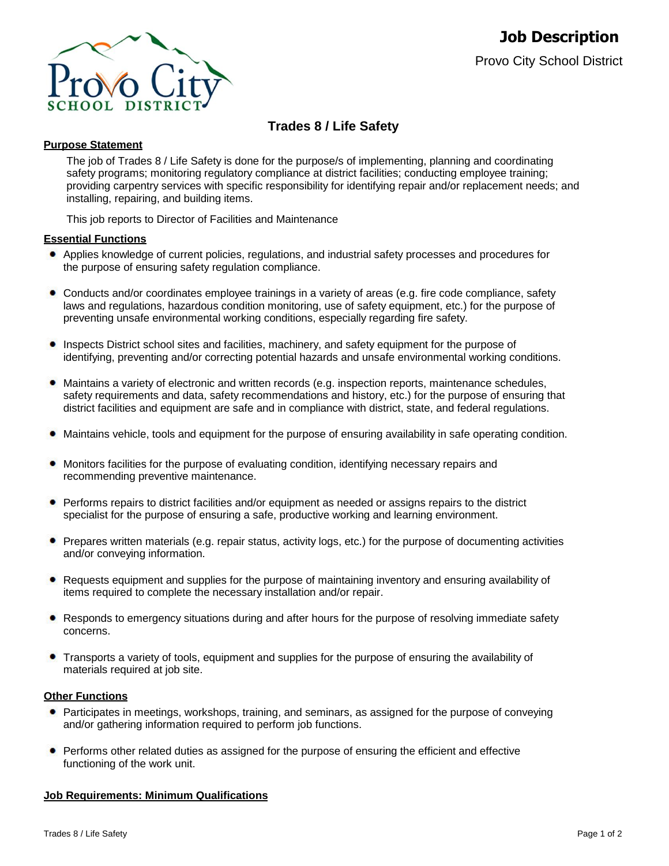

# **Trades 8 / Life Safety**

### **Purpose Statement**

The job of Trades 8 / Life Safety is done for the purpose/s of implementing, planning and coordinating safety programs; monitoring regulatory compliance at district facilities; conducting employee training; providing carpentry services with specific responsibility for identifying repair and/or replacement needs; and installing, repairing, and building items.

This job reports to Director of Facilities and Maintenance

### **Essential Functions**

- Applies knowledge of current policies, regulations, and industrial safety processes and procedures for the purpose of ensuring safety regulation compliance.
- $\bullet$ Conducts and/or coordinates employee trainings in a variety of areas (e.g. fire code compliance, safety laws and regulations, hazardous condition monitoring, use of safety equipment, etc.) for the purpose of preventing unsafe environmental working conditions, especially regarding fire safety.
- Inspects District school sites and facilities, machinery, and safety equipment for the purpose of identifying, preventing and/or correcting potential hazards and unsafe environmental working conditions.
- Maintains a variety of electronic and written records (e.g. inspection reports, maintenance schedules, safety requirements and data, safety recommendations and history, etc.) for the purpose of ensuring that district facilities and equipment are safe and in compliance with district, state, and federal regulations.
- Maintains vehicle, tools and equipment for the purpose of ensuring availability in safe operating condition.
- **•** Monitors facilities for the purpose of evaluating condition, identifying necessary repairs and recommending preventive maintenance.
- Performs repairs to district facilities and/or equipment as needed or assigns repairs to the district specialist for the purpose of ensuring a safe, productive working and learning environment.
- Prepares written materials (e.g. repair status, activity logs, etc.) for the purpose of documenting activities and/or conveying information.
- $\bullet$ Requests equipment and supplies for the purpose of maintaining inventory and ensuring availability of items required to complete the necessary installation and/or repair.
- Responds to emergency situations during and after hours for the purpose of resolving immediate safety  $\bullet$ concerns.
- Transports a variety of tools, equipment and supplies for the purpose of ensuring the availability of materials required at job site.

### **Other Functions**

- **•** Participates in meetings, workshops, training, and seminars, as assigned for the purpose of conveying and/or gathering information required to perform job functions.
- Performs other related duties as assigned for the purpose of ensuring the efficient and effective functioning of the work unit.

### **Job Requirements: Minimum Qualifications**